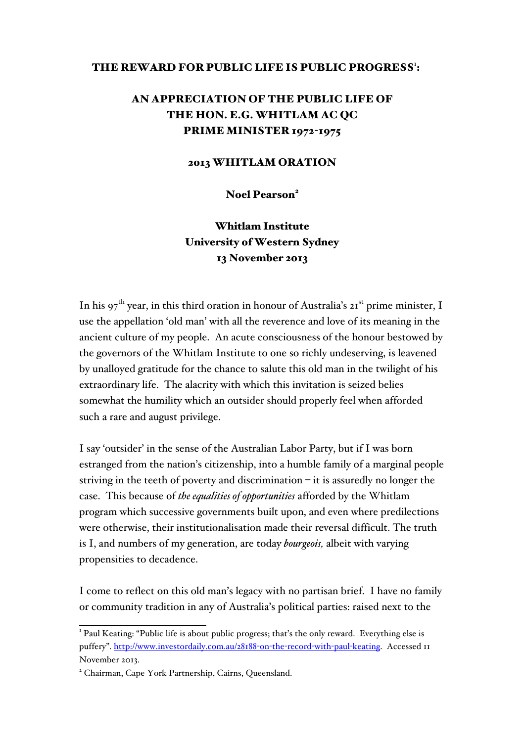#### THE REWARD FOR PUBLIC LIFE IS PUBLIC PROGRESS':

# AN APPRECIATION OF THE PUBLIC LIFE OF THE HON. E.G. WHITLAM AC QC PRIME MINISTER 1972-1975

#### 2013 WHITLAM ORATION

Noel Pearson<sup>2</sup>

Whitlam Institute University of Western Sydney 13 November 2013

In his 97<sup>th</sup> year, in this third oration in honour of Australia's 21<sup>st</sup> prime minister, I use the appellation 'old man' with all the reverence and love of its meaning in the ancient culture of my people. An acute consciousness of the honour bestowed by the governors of the Whitlam Institute to one so richly undeserving, is leavened by unalloyed gratitude for the chance to salute this old man in the twilight of his extraordinary life. The alacrity with which this invitation is seized belies somewhat the humility which an outsider should properly feel when afforded such a rare and august privilege.

I say 'outsider' in the sense of the Australian Labor Party, but if I was born estranged from the nation's citizenship, into a humble family of a marginal people striving in the teeth of poverty and discrimination – it is assuredly no longer the case. This because of *the equalities of opportunities* afforded by the Whitlam program which successive governments built upon, and even where predilections were otherwise, their institutionalisation made their reversal difficult. The truth is I, and numbers of my generation, are today *bourgeois,* albeit with varying propensities to decadence.

I come to reflect on this old man's legacy with no partisan brief. I have no family or community tradition in any of Australia's political parties: raised next to the

<sup>&</sup>lt;sup>1</sup> Paul Keating: "Public life is about public progress; that's the only reward. Everything else is puffery". http://www.investordaily.com.au/28188-on-the-record-with-paul-keating. Accessed 11 November 2013.

<sup>&</sup>lt;sup>2</sup> Chairman, Cape York Partnership, Cairns, Queensland.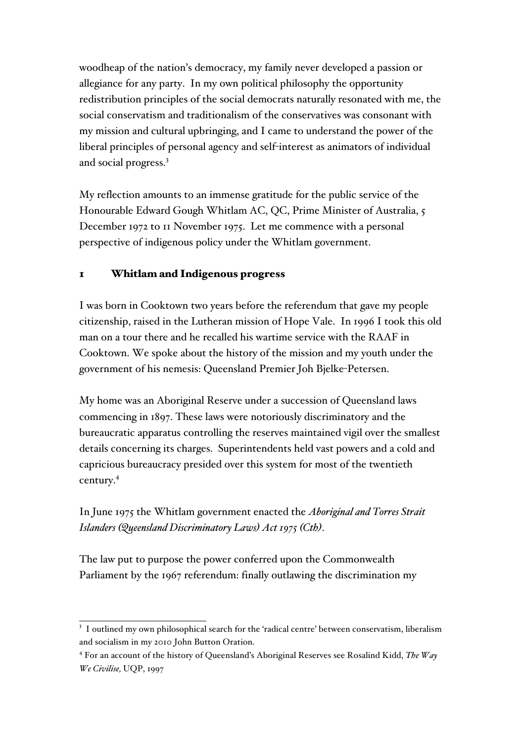woodheap of the nation's democracy, my family never developed a passion or allegiance for any party. In my own political philosophy the opportunity redistribution principles of the social democrats naturally resonated with me, the social conservatism and traditionalism of the conservatives was consonant with my mission and cultural upbringing, and I came to understand the power of the liberal principles of personal agency and self-interest as animators of individual and social progress. 3

My reflection amounts to an immense gratitude for the public service of the Honourable Edward Gough Whitlam AC, QC, Prime Minister of Australia, 5 December 1972 to 11 November 1975. Let me commence with a personal perspective of indigenous policy under the Whitlam government.

# 1 Whitlam and Indigenous progress

I was born in Cooktown two years before the referendum that gave my people citizenship, raised in the Lutheran mission of Hope Vale. In 1996 I took this old man on a tour there and he recalled his wartime service with the RAAF in Cooktown. We spoke about the history of the mission and my youth under the government of his nemesis: Queensland Premier Joh Bjelke-Petersen.

My home was an Aboriginal Reserve under a succession of Queensland laws commencing in 1897. These laws were notoriously discriminatory and the bureaucratic apparatus controlling the reserves maintained vigil over the smallest details concerning its charges. Superintendents held vast powers and a cold and capricious bureaucracy presided over this system for most of the twentieth century.4

In June 1975 the Whitlam government enacted the *Aboriginal and Torres Strait Islanders (Queensland Discriminatory Laws) Act 1975 (Cth)*.

The law put to purpose the power conferred upon the Commonwealth Parliament by the 1967 referendum: finally outlawing the discrimination my

<sup>&</sup>lt;sup>3</sup> I outlined my own philosophical search for the 'radical centre' between conservatism, liberalism and socialism in my 2010 John Button Oration.

<sup>4</sup> For an account of the history of Queensland's Aboriginal Reserves see Rosalind Kidd, *The Way We Civilise,* UQP, 1997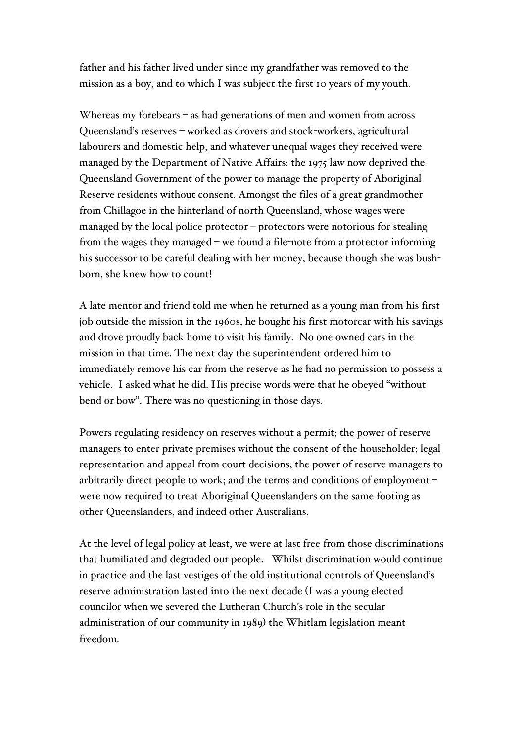father and his father lived under since my grandfather was removed to the mission as a boy, and to which I was subject the first 10 years of my youth.

Whereas my forebears – as had generations of men and women from across Queensland's reserves – worked as drovers and stock-workers, agricultural labourers and domestic help, and whatever unequal wages they received were managed by the Department of Native Affairs: the 1975 law now deprived the Queensland Government of the power to manage the property of Aboriginal Reserve residents without consent. Amongst the files of a great grandmother from Chillagoe in the hinterland of north Queensland, whose wages were managed by the local police protector – protectors were notorious for stealing from the wages they managed – we found a file-note from a protector informing his successor to be careful dealing with her money, because though she was bushborn, she knew how to count!

A late mentor and friend told me when he returned as a young man from his first job outside the mission in the 1960s, he bought his first motorcar with his savings and drove proudly back home to visit his family. No one owned cars in the mission in that time. The next day the superintendent ordered him to immediately remove his car from the reserve as he had no permission to possess a vehicle. I asked what he did. His precise words were that he obeyed "without bend or bow". There was no questioning in those days.

Powers regulating residency on reserves without a permit; the power of reserve managers to enter private premises without the consent of the householder; legal representation and appeal from court decisions; the power of reserve managers to arbitrarily direct people to work; and the terms and conditions of employment – were now required to treat Aboriginal Queenslanders on the same footing as other Queenslanders, and indeed other Australians.

At the level of legal policy at least, we were at last free from those discriminations that humiliated and degraded our people. Whilst discrimination would continue in practice and the last vestiges of the old institutional controls of Queensland's reserve administration lasted into the next decade (I was a young elected councilor when we severed the Lutheran Church's role in the secular administration of our community in 1989) the Whitlam legislation meant freedom.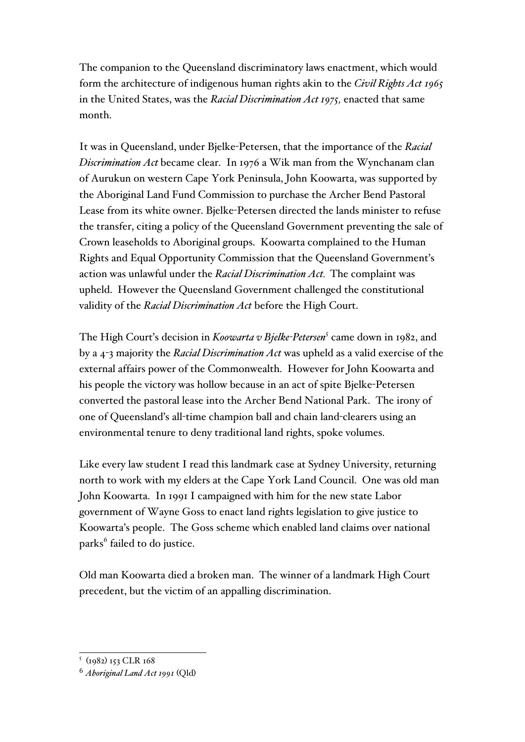The companion to the Queensland discriminatory laws enactment, which would form the architecture of indigenous human rights akin to the *Civil Rights Act 1965* in the United States, was the *Racial Discrimination Act 1975,* enacted that same month.

It was in Queensland, under Bjelke-Petersen, that the importance of the *Racial Discrimination Act* became clear. In 1976 a Wik man from the Wynchanam clan of Aurukun on western Cape York Peninsula, John Koowarta, was supported by the Aboriginal Land Fund Commission to purchase the Archer Bend Pastoral Lease from its white owner. Bjelke-Petersen directed the lands minister to refuse the transfer, citing a policy of the Queensland Government preventing the sale of Crown leaseholds to Aboriginal groups. Koowarta complained to the Human Rights and Equal Opportunity Commission that the Queensland Government's action was unlawful under the *Racial Discrimination Act.* The complaint was upheld. However the Queensland Government challenged the constitutional validity of the *Racial Discrimination Act* before the High Court.

The High Court's decision in *Koowarta v Bjelke-Petersen<sup>5</sup>* came down in 1982, and by a 4-3 majority the *Racial Discrimination Act* was upheld as a valid exercise of the external affairs power of the Commonwealth. However for John Koowarta and his people the victory was hollow because in an act of spite Bjelke-Petersen converted the pastoral lease into the Archer Bend National Park. The irony of one of Queensland's all-time champion ball and chain land-clearers using an environmental tenure to deny traditional land rights, spoke volumes.

Like every law student I read this landmark case at Sydney University, returning north to work with my elders at the Cape York Land Council. One was old man John Koowarta. In 1991 I campaigned with him for the new state Labor government of Wayne Goss to enact land rights legislation to give justice to Koowarta's people. The Goss scheme which enabled land claims over national parks<sup>6</sup> failed to do justice.

Old man Koowarta died a broken man. The winner of a landmark High Court precedent, but the victim of an appalling discrimination.

 <sup>5</sup> (1982) <sup>153</sup> CLR <sup>168</sup>

<sup>6</sup> *Aboriginal Land Act 1991* (Qld)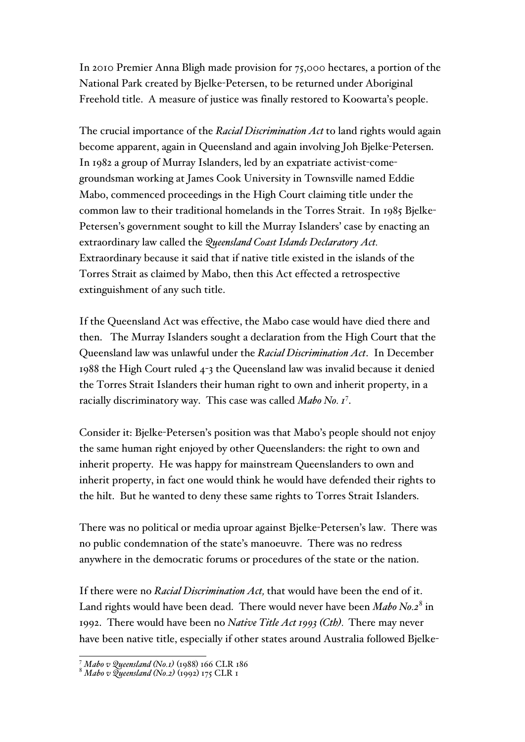In 2010 Premier Anna Bligh made provision for 75,000 hectares, a portion of the National Park created by Bjelke-Petersen, to be returned under Aboriginal Freehold title. A measure of justice was finally restored to Koowarta's people.

The crucial importance of the *Racial Discrimination Act* to land rights would again become apparent, again in Queensland and again involving Joh Bjelke-Petersen. In 1982 a group of Murray Islanders, led by an expatriate activist-comegroundsman working at James Cook University in Townsville named Eddie Mabo, commenced proceedings in the High Court claiming title under the common law to their traditional homelands in the Torres Strait. In 1985 Bjelke-Petersen's government sought to kill the Murray Islanders' case by enacting an extraordinary law called the *Queensland Coast Islands Declaratory Act.* Extraordinary because it said that if native title existed in the islands of the Torres Strait as claimed by Mabo, then this Act effected a retrospective extinguishment of any such title.

If the Queensland Act was effective, the Mabo case would have died there and then. The Murray Islanders sought a declaration from the High Court that the Queensland law was unlawful under the *Racial Discrimination Act*. In December 1988 the High Court ruled 4-3 the Queensland law was invalid because it denied the Torres Strait Islanders their human right to own and inherit property, in a racially discriminatory way. This case was called *Mabo No. 1*<sup>7</sup> .

Consider it: Bjelke-Petersen's position was that Mabo's people should not enjoy the same human right enjoyed by other Queenslanders: the right to own and inherit property. He was happy for mainstream Queenslanders to own and inherit property, in fact one would think he would have defended their rights to the hilt. But he wanted to deny these same rights to Torres Strait Islanders.

There was no political or media uproar against Bjelke-Petersen's law. There was no public condemnation of the state's manoeuvre. There was no redress anywhere in the democratic forums or procedures of the state or the nation.

If there were no *Racial Discrimination Act,* that would have been the end of it. Land rights would have been dead. There would never have been *Mabo No.2*<sup>8</sup> in 1992. There would have been no *Native Title Act 1993 (Cth).* There may never have been native title, especially if other states around Australia followed Bjelke-

 <sup>7</sup> *Mabo v Queensland (No.1)* (1988) <sup>166</sup> CLR <sup>186</sup>

<sup>8</sup> *Mabo v Queensland (No.2)* (1992) 175 CLR 1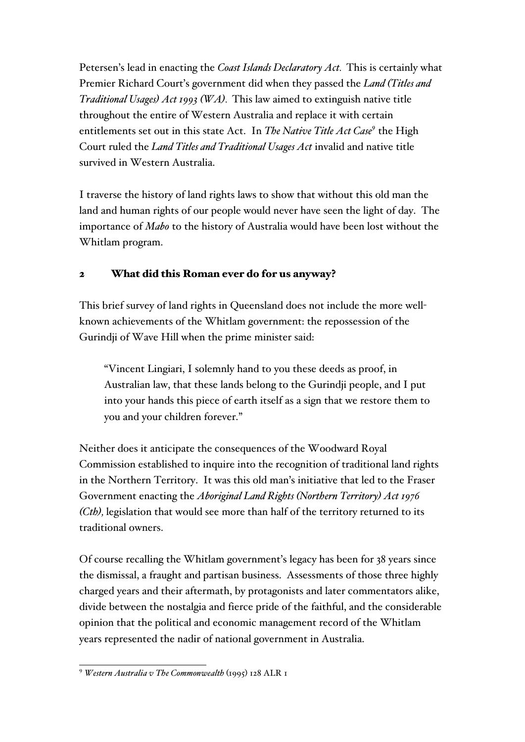Petersen's lead in enacting the *Coast Islands Declaratory Act.* This is certainly what Premier Richard Court's government did when they passed the *Land (Titles and Traditional Usages) Act 1993 (WA).* This law aimed to extinguish native title throughout the entire of Western Australia and replace it with certain entitlements set out in this state Act. In *The Native Title Act Case9* the High Court ruled the *Land Titles and Traditional Usages Act* invalid and native title survived in Western Australia.

I traverse the history of land rights laws to show that without this old man the land and human rights of our people would never have seen the light of day. The importance of *Mabo* to the history of Australia would have been lost without the Whitlam program.

# 2 What did this Roman ever do for us anyway?

This brief survey of land rights in Queensland does not include the more wellknown achievements of the Whitlam government: the repossession of the Gurindji of Wave Hill when the prime minister said:

"Vincent Lingiari, I solemnly hand to you these deeds as proof, in Australian law, that these lands belong to the Gurindji people, and I put into your hands this piece of earth itself as a sign that we restore them to you and your children forever."

Neither does it anticipate the consequences of the Woodward Royal Commission established to inquire into the recognition of traditional land rights in the Northern Territory. It was this old man's initiative that led to the Fraser Government enacting the *Aboriginal Land Rights (Northern Territory) Act 1976 (Cth),* legislation that would see more than half of the territory returned to its traditional owners.

Of course recalling the Whitlam government's legacy has been for 38 years since the dismissal, a fraught and partisan business. Assessments of those three highly charged years and their aftermath, by protagonists and later commentators alike, divide between the nostalgia and fierce pride of the faithful, and the considerable opinion that the political and economic management record of the Whitlam years represented the nadir of national government in Australia.

 <sup>9</sup> *Western Australia v The Commonwealth* (1995) <sup>128</sup> ALR <sup>1</sup>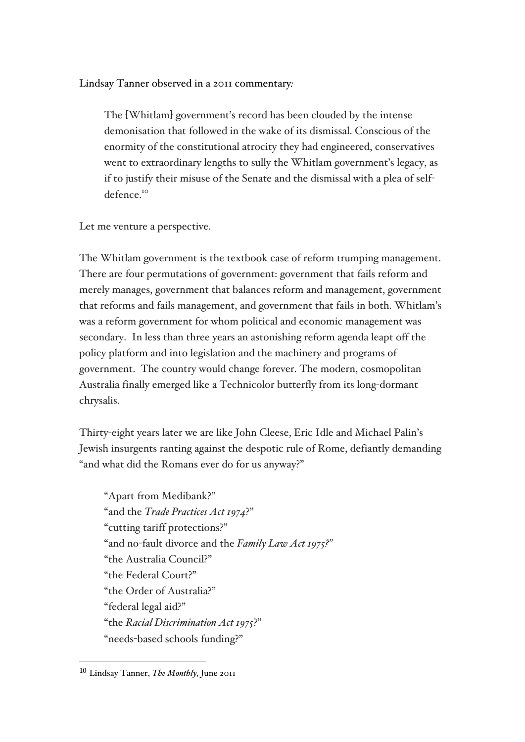Lindsay Tanner observed in a 2011 commentary*:*

The [Whitlam] government's record has been clouded by the intense demonisation that followed in the wake of its dismissal. Conscious of the enormity of the constitutional atrocity they had engineered, conservatives went to extraordinary lengths to sully the Whitlam government's legacy, as if to justify their misuse of the Senate and the dismissal with a plea of selfdefence.10

Let me venture a perspective.

The Whitlam government is the textbook case of reform trumping management. There are four permutations of government: government that fails reform and merely manages, government that balances reform and management, government that reforms and fails management, and government that fails in both. Whitlam's was a reform government for whom political and economic management was secondary. In less than three years an astonishing reform agenda leapt off the policy platform and into legislation and the machinery and programs of government. The country would change forever. The modern, cosmopolitan Australia finally emerged like a Technicolor butterfly from its long-dormant chrysalis.

Thirty-eight years later we are like John Cleese, Eric Idle and Michael Palin's Jewish insurgents ranting against the despotic rule of Rome, defiantly demanding "and what did the Romans ever do for us anyway?"

"Apart from Medibank?" "and the *Trade Practices Act 1974*?" "cutting tariff protections?" "and no-fault divorce and the *Family Law Act 1975?"* "the Australia Council?" "the Federal Court?" "the Order of Australia?" "federal legal aid?" "the *Racial Discrimination Act 1975*?" "needs-based schools funding?"

 

<sup>10</sup> Lindsay Tanner, *The Monthly,* June 2011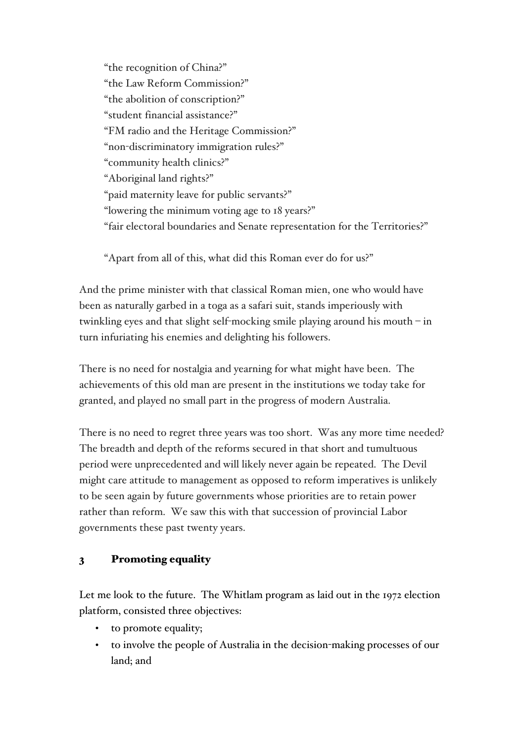"the recognition of China?" "the Law Reform Commission?" "the abolition of conscription?" "student financial assistance?" "FM radio and the Heritage Commission?" "non-discriminatory immigration rules?" "community health clinics?" "Aboriginal land rights?" "paid maternity leave for public servants?" "lowering the minimum voting age to 18 years?" "fair electoral boundaries and Senate representation for the Territories?"

"Apart from all of this, what did this Roman ever do for us?"

And the prime minister with that classical Roman mien, one who would have been as naturally garbed in a toga as a safari suit, stands imperiously with twinkling eyes and that slight self-mocking smile playing around his mouth – in turn infuriating his enemies and delighting his followers.

There is no need for nostalgia and yearning for what might have been. The achievements of this old man are present in the institutions we today take for granted, and played no small part in the progress of modern Australia.

There is no need to regret three years was too short. Was any more time needed? The breadth and depth of the reforms secured in that short and tumultuous period were unprecedented and will likely never again be repeated. The Devil might care attitude to management as opposed to reform imperatives is unlikely to be seen again by future governments whose priorities are to retain power rather than reform. We saw this with that succession of provincial Labor governments these past twenty years.

# 3 Promoting equality

Let me look to the future. The Whitlam program as laid out in the 1972 election platform, consisted three objectives:

- to promote equality;
- to involve the people of Australia in the decision-making processes of our land; and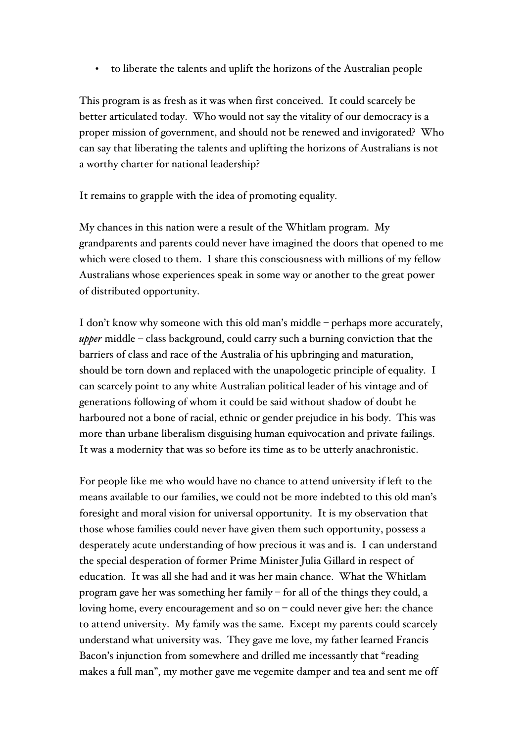• to liberate the talents and uplift the horizons of the Australian people

This program is as fresh as it was when first conceived. It could scarcely be better articulated today. Who would not say the vitality of our democracy is a proper mission of government, and should not be renewed and invigorated? Who can say that liberating the talents and uplifting the horizons of Australians is not a worthy charter for national leadership?

It remains to grapple with the idea of promoting equality.

My chances in this nation were a result of the Whitlam program. My grandparents and parents could never have imagined the doors that opened to me which were closed to them. I share this consciousness with millions of my fellow Australians whose experiences speak in some way or another to the great power of distributed opportunity.

I don't know why someone with this old man's middle – perhaps more accurately, *upper* middle – class background, could carry such a burning conviction that the barriers of class and race of the Australia of his upbringing and maturation, should be torn down and replaced with the unapologetic principle of equality. I can scarcely point to any white Australian political leader of his vintage and of generations following of whom it could be said without shadow of doubt he harboured not a bone of racial, ethnic or gender prejudice in his body. This was more than urbane liberalism disguising human equivocation and private failings. It was a modernity that was so before its time as to be utterly anachronistic.

For people like me who would have no chance to attend university if left to the means available to our families, we could not be more indebted to this old man's foresight and moral vision for universal opportunity. It is my observation that those whose families could never have given them such opportunity, possess a desperately acute understanding of how precious it was and is. I can understand the special desperation of former Prime Minister Julia Gillard in respect of education. It was all she had and it was her main chance. What the Whitlam program gave her was something her family – for all of the things they could, a loving home, every encouragement and so on – could never give her: the chance to attend university. My family was the same. Except my parents could scarcely understand what university was. They gave me love, my father learned Francis Bacon's injunction from somewhere and drilled me incessantly that "reading makes a full man", my mother gave me vegemite damper and tea and sent me off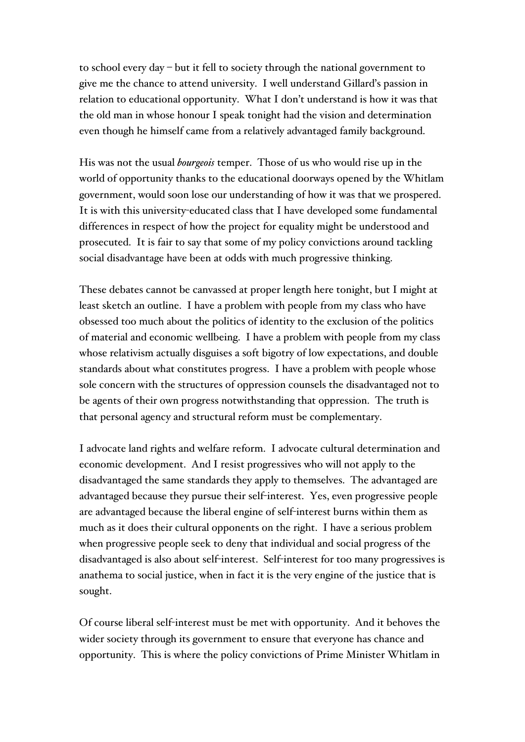to school every day – but it fell to society through the national government to give me the chance to attend university. I well understand Gillard's passion in relation to educational opportunity. What I don't understand is how it was that the old man in whose honour I speak tonight had the vision and determination even though he himself came from a relatively advantaged family background.

His was not the usual *bourgeois* temper. Those of us who would rise up in the world of opportunity thanks to the educational doorways opened by the Whitlam government, would soon lose our understanding of how it was that we prospered. It is with this university-educated class that I have developed some fundamental differences in respect of how the project for equality might be understood and prosecuted. It is fair to say that some of my policy convictions around tackling social disadvantage have been at odds with much progressive thinking.

These debates cannot be canvassed at proper length here tonight, but I might at least sketch an outline. I have a problem with people from my class who have obsessed too much about the politics of identity to the exclusion of the politics of material and economic wellbeing. I have a problem with people from my class whose relativism actually disguises a soft bigotry of low expectations, and double standards about what constitutes progress. I have a problem with people whose sole concern with the structures of oppression counsels the disadvantaged not to be agents of their own progress notwithstanding that oppression. The truth is that personal agency and structural reform must be complementary.

I advocate land rights and welfare reform. I advocate cultural determination and economic development. And I resist progressives who will not apply to the disadvantaged the same standards they apply to themselves. The advantaged are advantaged because they pursue their self-interest. Yes, even progressive people are advantaged because the liberal engine of self-interest burns within them as much as it does their cultural opponents on the right. I have a serious problem when progressive people seek to deny that individual and social progress of the disadvantaged is also about self-interest. Self-interest for too many progressives is anathema to social justice, when in fact it is the very engine of the justice that is sought.

Of course liberal self-interest must be met with opportunity. And it behoves the wider society through its government to ensure that everyone has chance and opportunity. This is where the policy convictions of Prime Minister Whitlam in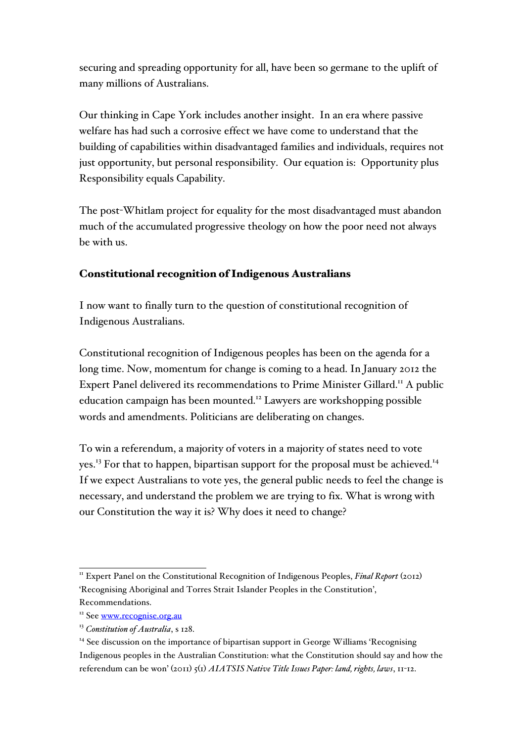securing and spreading opportunity for all, have been so germane to the uplift of many millions of Australians.

Our thinking in Cape York includes another insight. In an era where passive welfare has had such a corrosive effect we have come to understand that the building of capabilities within disadvantaged families and individuals, requires not just opportunity, but personal responsibility. Our equation is: Opportunity plus Responsibility equals Capability.

The post-Whitlam project for equality for the most disadvantaged must abandon much of the accumulated progressive theology on how the poor need not always be with us.

### Constitutional recognition of Indigenous Australians

I now want to finally turn to the question of constitutional recognition of Indigenous Australians.

Constitutional recognition of Indigenous peoples has been on the agenda for a long time. Now, momentum for change is coming to a head. In January 2012 the Expert Panel delivered its recommendations to Prime Minister Gillard.<sup>11</sup> A public education campaign has been mounted.<sup>12</sup> Lawyers are workshopping possible words and amendments. Politicians are deliberating on changes.

To win a referendum, a majority of voters in a majority of states need to vote yes.<sup>13</sup> For that to happen, bipartisan support for the proposal must be achieved.<sup>14</sup> If we expect Australians to vote yes, the general public needs to feel the change is necessary, and understand the problem we are trying to fix. What is wrong with our Constitution the way it is? Why does it need to change?

<sup>&</sup>lt;sup>11</sup> Expert Panel on the Constitutional Recognition of Indigenous Peoples, *Final Report* (2012) 'Recognising Aboriginal and Torres Strait Islander Peoples in the Constitution', Recommendations.

<sup>&</sup>lt;sup>12</sup> See www.recognise.org.au

<sup>13</sup> *Constitution of Australia*, s 128.

 $<sup>14</sup>$  See discussion on the importance of bipartisan support in George Williams 'Recognising'</sup> Indigenous peoples in the Australian Constitution: what the Constitution should say and how the referendum can be won' (2011) 5(1) *AIATSIS Native Title Issues Paper: land, rights, laws*, 11-12.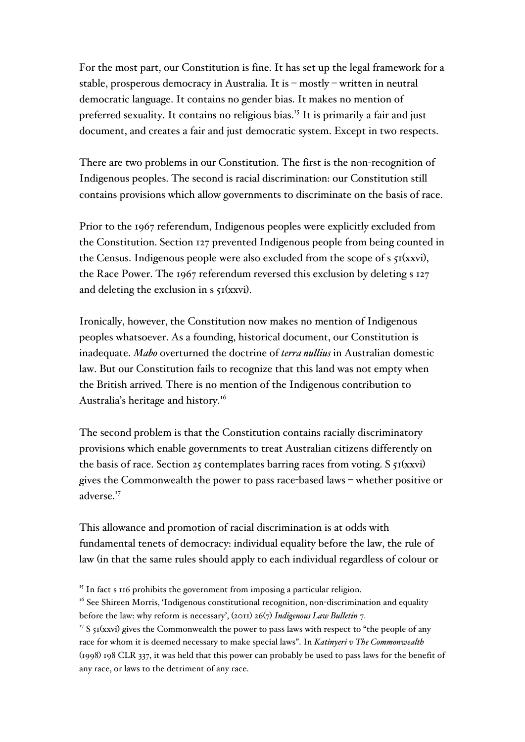For the most part, our Constitution is fine. It has set up the legal framework for a stable, prosperous democracy in Australia. It is – mostly – written in neutral democratic language. It contains no gender bias. It makes no mention of preferred sexuality. It contains no religious bias. <sup>15</sup> It is primarily a fair and just document, and creates a fair and just democratic system. Except in two respects.

There are two problems in our Constitution. The first is the non-recognition of Indigenous peoples. The second is racial discrimination: our Constitution still contains provisions which allow governments to discriminate on the basis of race.

Prior to the 1967 referendum, Indigenous peoples were explicitly excluded from the Constitution. Section 127 prevented Indigenous people from being counted in the Census. Indigenous people were also excluded from the scope of  $s \, \xi I(xxy)$ , the Race Power. The 1967 referendum reversed this exclusion by deleting s 127 and deleting the exclusion in  $s \, \mathfrak{I}(\text{xxvi})$ .

Ironically, however, the Constitution now makes no mention of Indigenous peoples whatsoever. As a founding, historical document, our Constitution is inadequate. *Mabo* overturned the doctrine of *terra nullius* in Australian domestic law. But our Constitution fails to recognize that this land was not empty when the British arrived*.* There is no mention of the Indigenous contribution to Australia's heritage and history.<sup>16</sup>

The second problem is that the Constitution contains racially discriminatory provisions which enable governments to treat Australian citizens differently on the basis of race. Section 25 contemplates barring races from voting.  $S_{51}(xxv)$ gives the Commonwealth the power to pass race-based laws – whether positive or adverse.<sup>17</sup>

This allowance and promotion of racial discrimination is at odds with fundamental tenets of democracy: individual equality before the law, the rule of law (in that the same rules should apply to each individual regardless of colour or

 $15$  In fact s 116 prohibits the government from imposing a particular religion.

 $16$  See Shireen Morris, 'Indigenous constitutional recognition, non-discrimination and equality before the law: why reform is necessary', (2011) 26(7) *Indigenous Law Bulletin* 7.

<sup>&</sup>lt;sup>17</sup> S  $51(xxxi)$  gives the Commonwealth the power to pass laws with respect to "the people of any race for whom it is deemed necessary to make special laws". In *Katinyeri v The Commonwealth* (1998) 198 CLR 337, it was held that this power can probably be used to pass laws for the benefit of any race, or laws to the detriment of any race.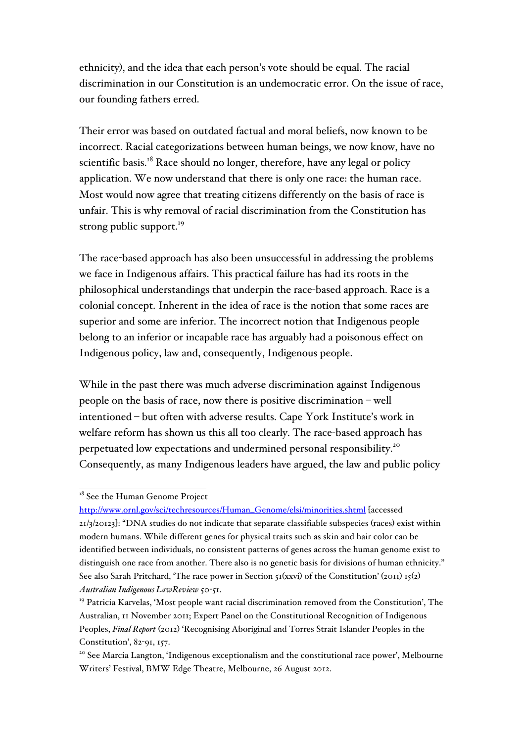ethnicity), and the idea that each person's vote should be equal. The racial discrimination in our Constitution is an undemocratic error. On the issue of race, our founding fathers erred.

Their error was based on outdated factual and moral beliefs, now known to be incorrect. Racial categorizations between human beings, we now know, have no scientific basis.<sup>18</sup> Race should no longer, therefore, have any legal or policy application. We now understand that there is only one race: the human race. Most would now agree that treating citizens differently on the basis of race is unfair. This is why removal of racial discrimination from the Constitution has strong public support. $19$ 

The race-based approach has also been unsuccessful in addressing the problems we face in Indigenous affairs. This practical failure has had its roots in the philosophical understandings that underpin the race-based approach. Race is a colonial concept. Inherent in the idea of race is the notion that some races are superior and some are inferior. The incorrect notion that Indigenous people belong to an inferior or incapable race has arguably had a poisonous effect on Indigenous policy, law and, consequently, Indigenous people.

While in the past there was much adverse discrimination against Indigenous people on the basis of race, now there is positive discrimination – well intentioned – but often with adverse results. Cape York Institute's work in welfare reform has shown us this all too clearly. The race-based approach has perpetuated low expectations and undermined personal responsibility.20 Consequently, as many Indigenous leaders have argued, the law and public policy

<sup>&</sup>lt;sup>18</sup> See the Human Genome Project

http://www.ornl.gov/sci/techresources/Human\_Genome/elsi/minorities.shtml [accessed 21/3/20123]: "DNA studies do not indicate that separate classifiable subspecies (races) exist within modern humans. While different genes for physical traits such as skin and hair color can be identified between individuals, no consistent patterns of genes across the human genome exist to distinguish one race from another. There also is no genetic basis for divisions of human ethnicity." See also Sarah Pritchard, 'The race power in Section  $\tau_1(xxyi)$  of the Constitution' (2011)  $\tau_5(z)$ *Australian Indigenous LawReview* 50-51.

<sup>&</sup>lt;sup>19</sup> Patricia Karvelas, 'Most people want racial discrimination removed from the Constitution', The Australian, 11 November 2011; Expert Panel on the Constitutional Recognition of Indigenous Peoples, *Final Report* (2012) 'Recognising Aboriginal and Torres Strait Islander Peoples in the Constitution', 82-91, 157.

<sup>&</sup>lt;sup>20</sup> See Marcia Langton, 'Indigenous exceptionalism and the constitutional race power', Melbourne Writers' Festival, BMW Edge Theatre, Melbourne, 26 August 2012.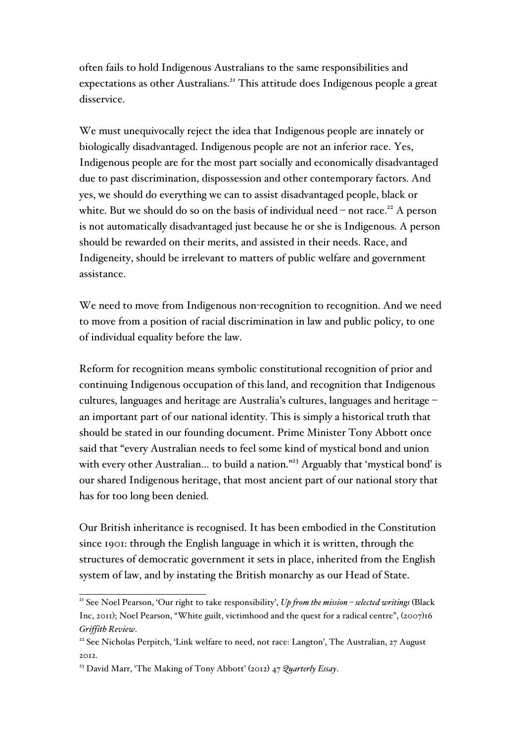often fails to hold Indigenous Australians to the same responsibilities and expectations as other Australians.<sup>21</sup> This attitude does Indigenous people a great disservice.

We must unequivocally reject the idea that Indigenous people are innately or biologically disadvantaged. Indigenous people are not an inferior race. Yes, Indigenous people are for the most part socially and economically disadvantaged due to past discrimination, dispossession and other contemporary factors. And yes, we should do everything we can to assist disadvantaged people, black or white. But we should do so on the basis of individual need – not race.<sup>22</sup> A person is not automatically disadvantaged just because he or she is Indigenous. A person should be rewarded on their merits, and assisted in their needs. Race, and Indigeneity, should be irrelevant to matters of public welfare and government assistance.

We need to move from Indigenous non-recognition to recognition. And we need to move from a position of racial discrimination in law and public policy, to one of individual equality before the law.

Reform for recognition means symbolic constitutional recognition of prior and continuing Indigenous occupation of this land, and recognition that Indigenous cultures, languages and heritage are Australia's cultures, languages and heritage – an important part of our national identity. This is simply a historical truth that should be stated in our founding document. Prime Minister Tony Abbott once said that "every Australian needs to feel some kind of mystical bond and union with every other Australian... to build a nation."<sup>23</sup> Arguably that 'mystical bond' is our shared Indigenous heritage, that most ancient part of our national story that has for too long been denied.

Our British inheritance is recognised. It has been embodied in the Constitution since 1901: through the English language in which it is written, through the structures of democratic government it sets in place, inherited from the English system of law, and by instating the British monarchy as our Head of State.

 <sup>21</sup> See Noel Pearson, 'Our right to take responsibility', *Up from the mission – selected writings* (Black Inc, 2011); Noel Pearson, "White guilt, victimhood and the quest for a radical centre", (2007)16 *Griffith Review*.

<sup>&</sup>lt;sup>22</sup> See Nicholas Perpitch, 'Link welfare to need, not race: Langton', The Australian, 27 August 2012.

<sup>23</sup> David Marr, 'The Making of Tony Abbott' (2012) 47 *Quarterly Essay*.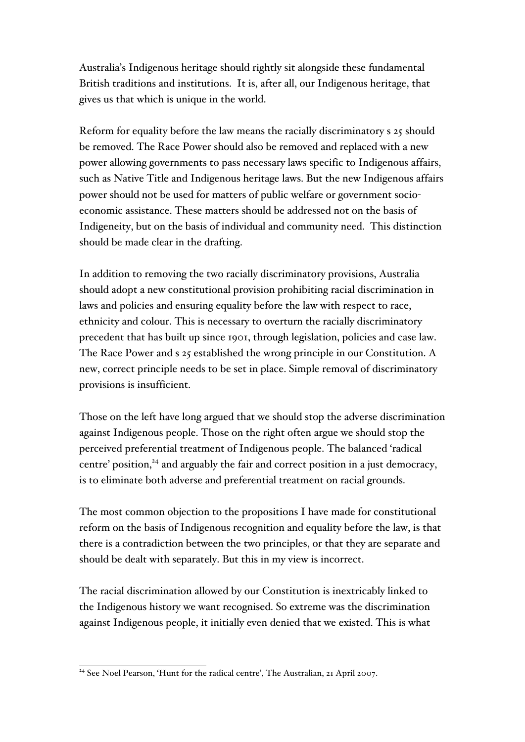Australia's Indigenous heritage should rightly sit alongside these fundamental British traditions and institutions. It is, after all, our Indigenous heritage, that gives us that which is unique in the world.

Reform for equality before the law means the racially discriminatory s 25 should be removed. The Race Power should also be removed and replaced with a new power allowing governments to pass necessary laws specific to Indigenous affairs, such as Native Title and Indigenous heritage laws. But the new Indigenous affairs power should not be used for matters of public welfare or government socioeconomic assistance. These matters should be addressed not on the basis of Indigeneity, but on the basis of individual and community need. This distinction should be made clear in the drafting.

In addition to removing the two racially discriminatory provisions, Australia should adopt a new constitutional provision prohibiting racial discrimination in laws and policies and ensuring equality before the law with respect to race, ethnicity and colour. This is necessary to overturn the racially discriminatory precedent that has built up since 1901, through legislation, policies and case law. The Race Power and s 25 established the wrong principle in our Constitution. A new, correct principle needs to be set in place. Simple removal of discriminatory provisions is insufficient.

Those on the left have long argued that we should stop the adverse discrimination against Indigenous people. Those on the right often argue we should stop the perceived preferential treatment of Indigenous people. The balanced 'radical centre' position,<sup>24</sup> and arguably the fair and correct position in a just democracy, is to eliminate both adverse and preferential treatment on racial grounds.

The most common objection to the propositions I have made for constitutional reform on the basis of Indigenous recognition and equality before the law, is that there is a contradiction between the two principles, or that they are separate and should be dealt with separately. But this in my view is incorrect.

The racial discrimination allowed by our Constitution is inextricably linked to the Indigenous history we want recognised. So extreme was the discrimination against Indigenous people, it initially even denied that we existed. This is what

<sup>&</sup>lt;sup>24</sup> See Noel Pearson, 'Hunt for the radical centre', The Australian, 21 April 2007.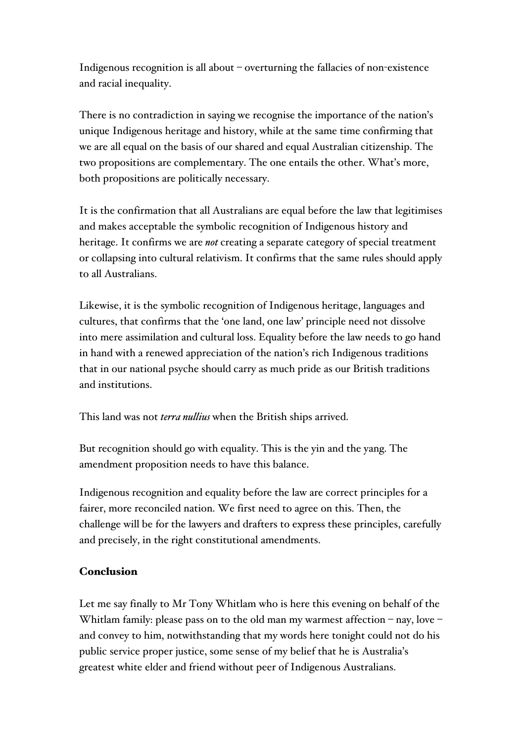Indigenous recognition is all about – overturning the fallacies of non-existence and racial inequality.

There is no contradiction in saying we recognise the importance of the nation's unique Indigenous heritage and history, while at the same time confirming that we are all equal on the basis of our shared and equal Australian citizenship. The two propositions are complementary. The one entails the other. What's more, both propositions are politically necessary.

It is the confirmation that all Australians are equal before the law that legitimises and makes acceptable the symbolic recognition of Indigenous history and heritage. It confirms we are *not* creating a separate category of special treatment or collapsing into cultural relativism. It confirms that the same rules should apply to all Australians.

Likewise, it is the symbolic recognition of Indigenous heritage, languages and cultures, that confirms that the 'one land, one law' principle need not dissolve into mere assimilation and cultural loss. Equality before the law needs to go hand in hand with a renewed appreciation of the nation's rich Indigenous traditions that in our national psyche should carry as much pride as our British traditions and institutions.

This land was not *terra nullius* when the British ships arrived.

But recognition should go with equality. This is the yin and the yang. The amendment proposition needs to have this balance.

Indigenous recognition and equality before the law are correct principles for a fairer, more reconciled nation. We first need to agree on this. Then, the challenge will be for the lawyers and drafters to express these principles, carefully and precisely, in the right constitutional amendments.

### Conclusion

Let me say finally to Mr Tony Whitlam who is here this evening on behalf of the Whitlam family: please pass on to the old man my warmest affection – nay, love – and convey to him, notwithstanding that my words here tonight could not do his public service proper justice, some sense of my belief that he is Australia's greatest white elder and friend without peer of Indigenous Australians.